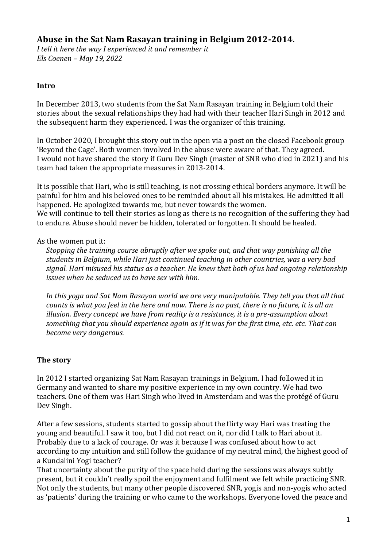# **Abuse in the Sat Nam Rasayan training in Belgium 2012-2014.**

*I tell it here the way I experienced it and remember it Els Coenen – May 19, 2022*

### **Intro**

In December 2013, two students from the Sat Nam Rasayan training in Belgium told their stories about the sexual relationships they had had with their teacher Hari Singh in 2012 and the subsequent harm they experienced. I was the organizer of this training.

In October 2020, I brought this story out in the open via a post on the closed Facebook group 'Beyond the Cage'. Both women involved in the abuse were aware of that. They agreed. I would not have shared the story if Guru Dev Singh (master of SNR who died in 2021) and his team had taken the appropriate measures in 2013-2014.

It is possible that Hari, who is still teaching, is not crossing ethical borders anymore. It will be painful for him and his beloved ones to be reminded about all his mistakes. He admitted it all happened. He apologized towards me, but never towards the women. We will continue to tell their stories as long as there is no recognition of the suffering they had to endure. Abuse should never be hidden, tolerated or forgotten. It should be healed.

#### As the women put it:

*Stopping the training course abruptly after we spoke out, and that way punishing all the students in Belgium, while Hari just continued teaching in other countries, was a very bad signal. Hari misused his status as a teacher. He knew that both of us had ongoing relationship issues when he seduced us to have sex with him.*

*In this yoga and Sat Nam Rasayan world we are very manipulable. They tell you that all that counts is what you feel in the here and now. There is no past, there is no future, it is all an illusion. Every concept we have from reality is a resistance, it is a pre-assumption about something that you should experience again as if it was for the first time, etc. etc. That can become very dangerous.* 

## **The story**

In 2012 I started organizing Sat Nam Rasayan trainings in Belgium. I had followed it in Germany and wanted to share my positive experience in my own country. We had two teachers. One of them was Hari Singh who lived in Amsterdam and was the protégé of Guru Dev Singh.

After a few sessions, students started to gossip about the flirty way Hari was treating the young and beautiful. I saw it too, but I did not react on it, nor did I talk to Hari about it. Probably due to a lack of courage. Or was it because I was confused about how to act according to my intuition and still follow the guidance of my neutral mind, the highest good of a Kundalini Yogi teacher?

That uncertainty about the purity of the space held during the sessions was always subtly present, but it couldn't really spoil the enjoyment and fulfilment we felt while practicing SNR. Not only the students, but many other people discovered SNR, yogis and non-yogis who acted as 'patients' during the training or who came to the workshops. Everyone loved the peace and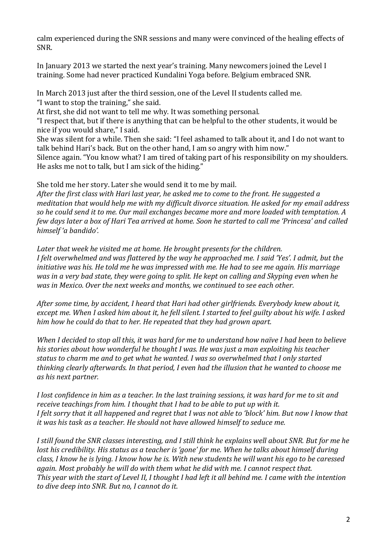calm experienced during the SNR sessions and many were convinced of the healing effects of SNR.

In January 2013 we started the next year's training. Many newcomers joined the Level I training. Some had never practiced Kundalini Yoga before. Belgium embraced SNR.

In March 2013 just after the third session, one of the Level II students called me. "I want to stop the training," she said.

At first, she did not want to tell me why. It was something personal.

"I respect that, but if there is anything that can be helpful to the other students, it would be nice if you would share," I said.

She was silent for a while. Then she said: "I feel ashamed to talk about it, and I do not want to talk behind Hari's back. But on the other hand, I am so angry with him now."

Silence again. "You know what? I am tired of taking part of his responsibility on my shoulders. He asks me not to talk, but I am sick of the hiding."

She told me her story. Later she would send it to me by mail.

*After the first class with Hari last year, he asked me to come to the front. He suggested a meditation that would help me with my difficult divorce situation. He asked for my email address so he could send it to me. Our mail exchanges became more and more loaded with temptation. A few days later a box of Hari Tea arrived at home. Soon he started to call me 'Princesa' and called himself 'a bandido'.* 

*Later that week he visited me at home. He brought presents for the children. I felt overwhelmed and was flattered by the way he approached me. I said 'Yes'. I admit, but the initiative was his. He told me he was impressed with me. He had to see me again. His marriage was in a very bad state, they were going to split. He kept on calling and Skyping even when he was in Mexico. Over the next weeks and months, we continued to see each other.* 

*After some time, by accident, I heard that Hari had other girlfriends. Everybody knew about it, except me. When I asked him about it, he fell silent. I started to feel guilty about his wife. I asked him how he could do that to her. He repeated that they had grown apart.*

*When I decided to stop all this, it was hard for me to understand how naïve I had been to believe his stories about how wonderful he thought I was. He was just a man exploiting his teacher status to charm me and to get what he wanted. I was so overwhelmed that I only started thinking clearly afterwards. In that period, I even had the illusion that he wanted to choose me as his next partner.* 

*I lost confidence in him as a teacher. In the last training sessions, it was hard for me to sit and receive teachings from him. I thought that I had to be able to put up with it. I felt sorry that it all happened and regret that I was not able to 'block' him. But now I know that it was his task as a teacher. He should not have allowed himself to seduce me.* 

*I still found the SNR classes interesting, and I still think he explains well about SNR. But for me he lost his credibility. His status as a teacher is 'gone' for me. When he talks about himself during class, I know he is lying. I know how he is. With new students he will want his ego to be caressed again. Most probably he will do with them what he did with me. I cannot respect that. This year with the start of Level II, I thought I had left it all behind me. I came with the intention to dive deep into SNR. But no, I cannot do it.*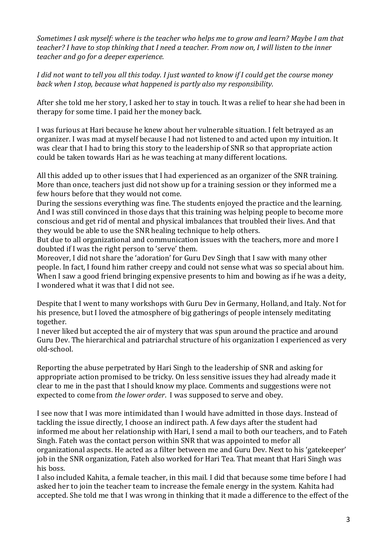*Sometimes I ask myself: where is the teacher who helps me to grow and learn? Maybe I am that teacher? I have to stop thinking that I need a teacher. From now on, I will listen to the inner teacher and go for a deeper experience.*

*I did not want to tell you all this today. I just wanted to know if I could get the course money back when I stop, because what happened is partly also my responsibility.* 

After she told me her story, I asked her to stay in touch. It was a relief to hear she had been in therapy for some time. I paid her the money back.

I was furious at Hari because he knew about her vulnerable situation. I felt betrayed as an organizer. I was mad at myself because I had not listened to and acted upon my intuition. It was clear that I had to bring this story to the leadership of SNR so that appropriate action could be taken towards Hari as he was teaching at many different locations.

All this added up to other issues that I had experienced as an organizer of the SNR training. More than once, teachers just did not show up for a training session or they informed me a few hours before that they would not come.

During the sessions everything was fine. The students enjoyed the practice and the learning. And I was still convinced in those days that this training was helping people to become more conscious and get rid of mental and physical imbalances that troubled their lives. And that they would be able to use the SNR healing technique to help others.

But due to all organizational and communication issues with the teachers, more and more I doubted if I was the right person to 'serve' them.

Moreover, I did not share the 'adoration' for Guru Dev Singh that I saw with many other people. In fact, I found him rather creepy and could not sense what was so special about him. When I saw a good friend bringing expensive presents to him and bowing as if he was a deity, I wondered what it was that I did not see.

Despite that I went to many workshops with Guru Dev in Germany, Holland, and Italy. Not for his presence, but I loved the atmosphere of big gatherings of people intensely meditating together.

I never liked but accepted the air of mystery that was spun around the practice and around Guru Dev. The hierarchical and patriarchal structure of his organization I experienced as very old-school.

Reporting the abuse perpetrated by Hari Singh to the leadership of SNR and asking for appropriate action promised to be tricky. On less sensitive issues they had already made it clear to me in the past that I should know my place. Comments and suggestions were not expected to come from *the lower order*. I was supposed to serve and obey.

I see now that I was more intimidated than I would have admitted in those days. Instead of tackling the issue directly, I choose an indirect path. A few days after the student had informed me about her relationship with Hari, I send a mail to both our teachers, and to Fateh Singh. Fateh was the contact person within SNR that was appointed to mefor all organizational aspects. He acted as a filter between me and Guru Dev. Next to his 'gatekeeper' job in the SNR organization, Fateh also worked for Hari Tea. That meant that Hari Singh was his boss.

I also included Kahita, a female teacher, in this mail. I did that because some time before I had asked her to join the teacher team to increase the female energy in the system. Kahita had accepted. She told me that I was wrong in thinking that it made a difference to the effect of the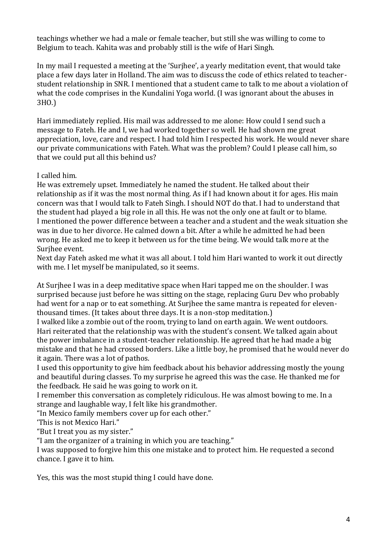teachings whether we had a male or female teacher, but still she was willing to come to Belgium to teach. Kahita was and probably still is the wife of Hari Singh.

In my mail I requested a meeting at the 'Surjhee', a yearly meditation event, that would take place a few days later in Holland. The aim was to discuss the code of ethics related to teacherstudent relationship in SNR. I mentioned that a student came to talk to me about a violation of what the code comprises in the Kundalini Yoga world. (I was ignorant about the abuses in 3HO.)

Hari immediately replied. His mail was addressed to me alone: How could I send such a message to Fateh. He and I, we had worked together so well. He had shown me great appreciation, love, care and respect. I had told him I respected his work. He would never share our private communications with Fateh. What was the problem? Could I please call him, so that we could put all this behind us?

I called him.

He was extremely upset. Immediately he named the student. He talked about their relationship as if it was the most normal thing. As if I had known about it for ages. His main concern was that I would talk to Fateh Singh. I should NOT do that. I had to understand that the student had played a big role in all this. He was not the only one at fault or to blame. I mentioned the power difference between a teacher and a student and the weak situation she was in due to her divorce. He calmed down a bit. After a while he admitted he had been wrong. He asked me to keep it between us for the time being. We would talk more at the Surjhee event.

Next day Fateh asked me what it was all about. I told him Hari wanted to work it out directly with me. I let myself be manipulated, so it seems.

At Surjhee I was in a deep meditative space when Hari tapped me on the shoulder. I was surprised because just before he was sitting on the stage, replacing Guru Dev who probably had went for a nap or to eat something. At Surjhee the same mantra is repeated for eleventhousand times. (It takes about three days. It is a non-stop meditation.)

I walked like a zombie out of the room, trying to land on earth again. We went outdoors. Hari reiterated that the relationship was with the student's consent. We talked again about the power imbalance in a student-teacher relationship. He agreed that he had made a big mistake and that he had crossed borders. Like a little boy, he promised that he would never do it again. There was a lot of pathos.

I used this opportunity to give him feedback about his behavior addressing mostly the young and beautiful during classes. To my surprise he agreed this was the case. He thanked me for the feedback. He said he was going to work on it.

I remember this conversation as completely ridiculous. He was almost bowing to me. In a strange and laughable way, I felt like his grandmother.

"In Mexico family members cover up for each other."

'This is not Mexico Hari."

"But I treat you as my sister."

"I am the organizer of a training in which you are teaching."

I was supposed to forgive him this one mistake and to protect him. He requested a second chance. I gave it to him.

Yes, this was the most stupid thing I could have done.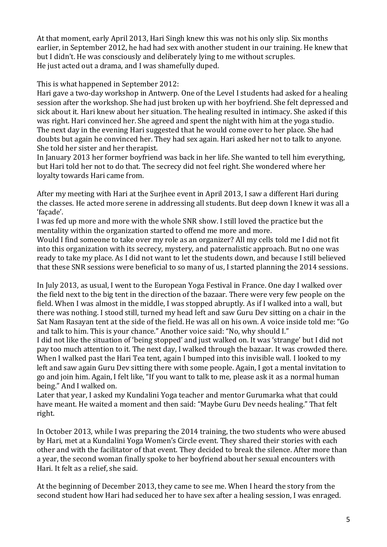At that moment, early April 2013, Hari Singh knew this was not his only slip. Six months earlier, in September 2012, he had had sex with another student in our training. He knew that but I didn't. He was consciously and deliberately lying to me without scruples. He just acted out a drama, and I was shamefully duped.

This is what happened in September 2012:

Hari gave a two-day workshop in Antwerp. One of the Level I students had asked for a healing session after the workshop. She had just broken up with her boyfriend. She felt depressed and sick about it. Hari knew about her situation. The healing resulted in intimacy. She asked if this was right. Hari convinced her. She agreed and spent the night with him at the yoga studio. The next day in the evening Hari suggested that he would come over to her place. She had doubts but again he convinced her. They had sex again. Hari asked her not to talk to anyone. She told her sister and her therapist.

In January 2013 her former boyfriend was back in her life. She wanted to tell him everything, but Hari told her not to do that. The secrecy did not feel right. She wondered where her loyalty towards Hari came from.

After my meeting with Hari at the Surjhee event in April 2013, I saw a different Hari during the classes. He acted more serene in addressing all students. But deep down I knew it was all a 'façade'.

I was fed up more and more with the whole SNR show. I still loved the practice but the mentality within the organization started to offend me more and more.

Would I find someone to take over my role as an organizer? All my cells told me I did not fit into this organization with its secrecy, mystery, and paternalistic approach. But no one was ready to take my place. As I did not want to let the students down, and because I still believed that these SNR sessions were beneficial to so many of us, I started planning the 2014 sessions.

In July 2013, as usual, I went to the European Yoga Festival in France. One day I walked over the field next to the big tent in the direction of the bazaar. There were very few people on the field. When I was almost in the middle, I was stopped abruptly. As if I walked into a wall, but there was nothing. I stood still, turned my head left and saw Guru Dev sitting on a chair in the Sat Nam Rasayan tent at the side of the field. He was all on his own. A voice inside told me: "Go and talk to him. This is your chance." Another voice said: "No, why should I."

I did not like the situation of 'being stopped' and just walked on. It was 'strange' but I did not pay too much attention to it. The next day, I walked through the bazaar. It was crowded there. When I walked past the Hari Tea tent, again I bumped into this invisible wall. I looked to my left and saw again Guru Dev sitting there with some people. Again, I got a mental invitation to go and join him. Again, I felt like, "If you want to talk to me, please ask it as a normal human being." And I walked on.

Later that year, I asked my Kundalini Yoga teacher and mentor Gurumarka what that could have meant. He waited a moment and then said: "Maybe Guru Dev needs healing." That felt right.

In October 2013, while I was preparing the 2014 training, the two students who were abused by Hari, met at a Kundalini Yoga Women's Circle event. They shared their stories with each other and with the facilitator of that event. They decided to break the silence. After more than a year, the second woman finally spoke to her boyfriend about her sexual encounters with Hari. It felt as a relief, she said.

At the beginning of December 2013, they came to see me. When I heard the story from the second student how Hari had seduced her to have sex after a healing session, I was enraged.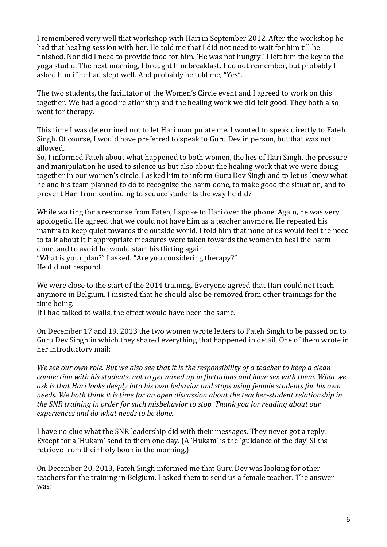I remembered very well that workshop with Hari in September 2012. After the workshop he had that healing session with her. He told me that I did not need to wait for him till he finished. Nor did I need to provide food for him. 'He was not hungry!' I left him the key to the yoga studio. The next morning, I brought him breakfast. I do not remember, but probably I asked him if he had slept well. And probably he told me, "Yes".

The two students, the facilitator of the Women's Circle event and I agreed to work on this together. We had a good relationship and the healing work we did felt good. They both also went for therapy.

This time I was determined not to let Hari manipulate me. I wanted to speak directly to Fateh Singh. Of course, I would have preferred to speak to Guru Dev in person, but that was not allowed.

So, I informed Fateh about what happened to both women, the lies of Hari Singh, the pressure and manipulation he used to silence us but also about the healing work that we were doing together in our women's circle. I asked him to inform Guru Dev Singh and to let us know what he and his team planned to do to recognize the harm done, to make good the situation, and to prevent Hari from continuing to seduce students the way he did?

While waiting for a response from Fateh, I spoke to Hari over the phone. Again, he was very apologetic. He agreed that we could not have him as a teacher anymore. He repeated his mantra to keep quiet towards the outside world. I told him that none of us would feel the need to talk about it if appropriate measures were taken towards the women to heal the harm done, and to avoid he would start his flirting again.

"What is your plan?" I asked. "Are you considering therapy?" He did not respond.

We were close to the start of the 2014 training. Everyone agreed that Hari could not teach anymore in Belgium. I insisted that he should also be removed from other trainings for the time being.

If I had talked to walls, the effect would have been the same.

On December 17 and 19, 2013 the two women wrote letters to Fateh Singh to be passed on to Guru Dev Singh in which they shared everything that happened in detail. One of them wrote in her introductory mail:

*We see our own role. But we also see that it is the responsibility of a teacher to keep a clean connection with his students, not to get mixed up in flirtations and have sex with them. What we ask is that Hari looks deeply into his own behavior and stops using female students for his own needs. We both think it is time for an open discussion about the teacher-student relationship in the SNR training in order for such misbehavior to stop. Thank you for reading about our experiences and do what needs to be done.*

I have no clue what the SNR leadership did with their messages. They never got a reply. Except for a 'Hukam' send to them one day. (A 'Hukam' is the 'guidance of the day' Sikhs retrieve from their holy book in the morning.)

On December 20, 2013, Fateh Singh informed me that Guru Dev was looking for other teachers for the training in Belgium. I asked them to send us a female teacher. The answer was: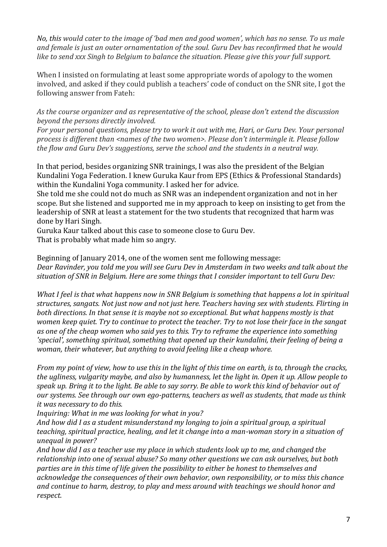*No, this would cater to the image of 'bad men and good women', which has no sense. To us male and female is just an outer ornamentation of the soul. Guru Dev has reconfirmed that he would like to send xxx Singh to Belgium to balance the situation. Please give this your full support.*

When I insisted on formulating at least some appropriate words of apology to the women involved, and asked if they could publish a teachers' code of conduct on the SNR site, I got the following answer from Fateh:

*As the course organizer and as representative of the school, please don't extend the discussion beyond the persons directly involved.* 

*For your personal questions, please try to work it out with me, Hari, or Guru Dev. Your personal process is different than <names of the two women>. Please don't intermingle it. Please follow the flow and Guru Dev's suggestions, serve the school and the students in a neutral way.*

In that period, besides organizing SNR trainings, I was also the president of the Belgian Kundalini Yoga Federation. I knew Guruka Kaur from EPS (Ethics & Professional Standards) within the Kundalini Yoga community. I asked her for advice.

She told me she could not do much as SNR was an independent organization and not in her scope. But she listened and supported me in my approach to keep on insisting to get from the leadership of SNR at least a statement for the two students that recognized that harm was done by Hari Singh.

Guruka Kaur talked about this case to someone close to Guru Dev.

That is probably what made him so angry.

Beginning of January 2014, one of the women sent me following message: *Dear Ravinder, you told me you will see Guru Dev in Amsterdam in two weeks and talk about the situation of SNR in Belgium. Here are some things that I consider important to tell Guru Dev:*

*What I feel is that what happens now in SNR Belgium is something that happens a lot in spiritual structures, sangats. Not just now and not just here. Teachers having sex with students. Flirting in both directions. In that sense it is maybe not so exceptional. But what happens mostly is that women keep quiet. Try to continue to protect the teacher. Try to not lose their face in the sangat as one of the cheap women who said yes to this. Try to reframe the experience into something 'special', something spiritual, something that opened up their kundalini, their feeling of being a woman, their whatever, but anything to avoid feeling like a cheap whore.*

*From my point of view, how to use this in the light of this time on earth, is to, through the cracks, the ugliness, vulgarity maybe, and also by humanness, let the light in. Open it up. Allow people to speak up. Bring it to the light. Be able to say sorry. Be able to work this kind of behavior out of our systems. See through our own ego-patterns, teachers as well as students, that made us think it was necessary to do this.* 

*Inquiring: What in me was looking for what in you?* 

*And how did I as a student misunderstand my longing to join a spiritual group, a spiritual teaching, spiritual practice, healing, and let it change into a man-woman story in a situation of unequal in power?* 

*And how did I as a teacher use my place in which students look up to me, and changed the relationship into one of sexual abuse? So many other questions we can ask ourselves, but both parties are in this time of life given the possibility to either be honest to themselves and acknowledge the consequences of their own behavior, own responsibility, or to miss this chance and continue to harm, destroy, to play and mess around with teachings we should honor and respect.*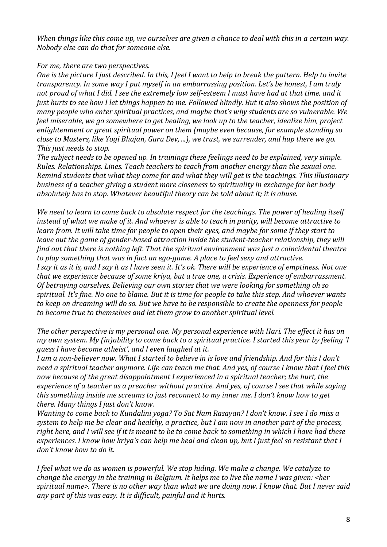*When things like this come up, we ourselves are given a chance to deal with this in a certain way. Nobody else can do that for someone else.*

#### *For me, there are two perspectives.*

*One is the picture I just described. In this, I feel I want to help to break the pattern. Help to invite transparency. In some way I put myself in an embarrassing position. Let's be honest, I am truly not proud of what I did. I see the extremely low self-esteem I must have had at that time, and it just hurts to see how I let things happen to me. Followed blindly. But it also shows the position of many people who enter spiritual practices, and maybe that's why students are so vulnerable. We feel miserable, we go somewhere to get healing, we look up to the teacher, idealize him, project enlightenment or great spiritual power on them (maybe even because, for example standing so close to Masters, like Yogi Bhajan, Guru Dev, ...), we trust, we surrender, and hup there we go. This just needs to stop.*

*The subject needs to be opened up. In trainings these feelings need to be explained, very simple. Rules. Relationships. Lines. Teach teachers to teach from another energy than the sexual one. Remind students that what they come for and what they will get is the teachings. This illusionary business of a teacher giving a student more closeness to spirituality in exchange for her body absolutely has to stop. Whatever beautiful theory can be told about it; it is abuse.*

We need to learn to come back to absolute respect for the teachings. The power of healing itself *instead of what we make of it. And whoever is able to teach in purity, will become attractive to learn from. It will take time for people to open their eyes, and maybe for some if they start to leave out the game of gender-based attraction inside the student-teacher relationship, they will find out that there is nothing left. That the spiritual environment was just a coincidental theatre to play something that was in fact an ego-game. A place to feel sexy and attractive.* 

*I say it as it is, and I say it as I have seen it. It's ok. There will be experience of emptiness. Not one that we experience because of some kriya, but a true one, a crisis. Experience of embarrassment. Of betraying ourselves. Believing our own stories that we were looking for something oh so spiritual. It's fine. No one to blame. But it is time for people to take this step. And whoever wants to keep on dreaming will do so. But we have to be responsible to create the openness for people to become true to themselves and let them grow to another spiritual level.*

*The other perspective is my personal one. My personal experience with Hari. The effect it has on my own system. My (in)ability to come back to a spiritual practice. I started this year by feeling 'I guess I have become atheist', and I even laughed at it.* 

*I am a non-believer now. What I started to believe in is love and friendship. And for this I don't need a spiritual teacher anymore. Life can teach me that. And yes, of course I know that I feel this now because of the great disappointment I experienced in a spiritual teacher; the hurt, the experience of a teacher as a preacher without practice. And yes, of course I see that while saying this something inside me screams to just reconnect to my inner me. I don't know how to get there. Many things I just don't know.* 

*Wanting to come back to Kundalini yoga? To Sat Nam Rasayan? I don't know. I see I do miss a system to help me be clear and healthy, a practice, but I am now in another part of the process, right here, and I will see if it is meant to be to come back to something in which I have had these experiences. I know how kriya's can help me heal and clean up, but I just feel so resistant that I don't know how to do it.*

*I feel what we do as women is powerful. We stop hiding. We make a change. We catalyze to change the energy in the training in Belgium. It helps me to live the name I was given: <her spiritual name>. There is no other way than what we are doing now. I know that. But I never said any part of this was easy. It is difficult, painful and it hurts.*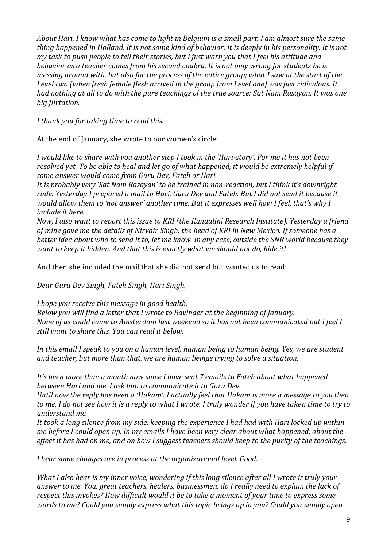*About Hari, I know what has come to light in Belgium is a small part. I am almost sure the same thing happened in Holland. It is not some kind of behavior; it is deeply in his personality. It is not my task to push people to tell their stories, but I just warn you that I feel his attitude and behavior as a teacher comes from his second chakra. It is not only wrong for students he is messing around with, but also for the process of the entire group; what I saw at the start of the Level two (when fresh female flesh arrived in the group from Level one) was just ridiculous. It had nothing at all to do with the pure teachings of the true source: Sat Nam Rasayan. It was one big flirtation.*

*I thank you for taking time to read this.*

At the end of January, she wrote to our women's circle:

*I would like to share with you another step I took in the 'Hari-story'. For me it has not been resolved yet. To be able to heal and let go of what happened, it would be extremely helpful if some answer would come from Guru Dev, Fateh or Hari.* 

*It is probably very 'Sat Nam Rasayan' to be trained in non-reaction, but I think it's downright rude. Yesterday I prepared a mail to Hari, Guru Dev and Fateh. But I did not send it because it would allow them to 'not answer' another time. But it expresses well how I feel, that's why I include it here.*

*Now, I also want to report this issue to KRI (the Kundalini Research Institute). Yesterday a friend of mine gave me the details of Nirvair Singh, the head of KRI in New Mexico. If someone has a better idea about who to send it to, let me know. In any case, outside the SNR world because they want to keep it hidden. And that this is exactly what we should not do, hide it!*

And then she included the mail that she did not send but wanted us to read:

*Dear Guru Dev Singh, Fateh Singh, Hari Singh,* 

*I hope you receive this message in good health. Below you will find a letter that I wrote to Ravinder at the beginning of January. None of us could come to Amsterdam last weekend so it has not been communicated but I feel I still want to share this. You can read it below.* 

*In this email I speak to you on a human level, human being to human being. Yes, we are student and teacher, but more than that, we are human beings trying to solve a situation.* 

*It's been more than a month now since I have sent 7 emails to Fateh about what happened between Hari and me. I ask him to communicate it to Guru Dev.*

*Until now the reply has been a 'Hukam'. I actually feel that Hukam is more a message to you then to me. I do not see how it is a reply to what I wrote. I truly wonder if you have taken time to try to understand me.* 

*It took a long silence from my side, keeping the experience I had had with Hari locked up within me before I could open up. In my emails I have been very clear about what happened, about the effect it has had on me, and on how I suggest teachers should keep to the purity of the teachings.* 

*I hear some changes are in process at the organizational level. Good.* 

*What I also hear is my inner voice, wondering if this long silence after all I wrote is truly your answer to me. You, great teachers, healers, businessmen, do I really need to explain the lack of respect this invokes? How difficult would it be to take a moment of your time to express some words to me? Could you simply express what this topic brings up in you? Could you simply open*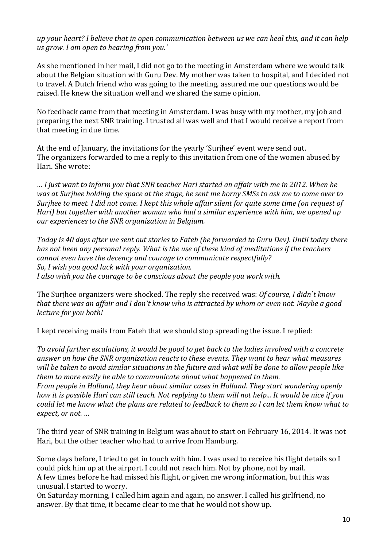*up your heart? I believe that in open communication between us we can heal this, and it can help us grow. I am open to hearing from you.'*

As she mentioned in her mail, I did not go to the meeting in Amsterdam where we would talk about the Belgian situation with Guru Dev. My mother was taken to hospital, and I decided not to travel. A Dutch friend who was going to the meeting, assured me our questions would be raised. He knew the situation well and we shared the same opinion.

No feedback came from that meeting in Amsterdam. I was busy with my mother, my job and preparing the next SNR training. I trusted all was well and that I would receive a report from that meeting in due time.

At the end of January, the invitations for the yearly 'Surjhee' event were send out. The organizers forwarded to me a reply to this invitation from one of the women abused by Hari. She wrote:

*… I just want to inform you that SNR teacher Hari started an affair with me in 2012. When he was at Surjhee holding the space at the stage, he sent me horny SMSs to ask me to come over to Surjhee to meet. I did not come. I kept this whole affair silent for quite some time (on request of Hari) but together with another woman who had a similar experience with him, we opened up our experiences to the SNR organization in Belgium.* 

*Today is 40 days after we sent out stories to Fateh (he forwarded to Guru Dev). Until today there has not been any personal reply. What is the use of these kind of meditations if the teachers cannot even have the decency and courage to communicate respectfully? So, I wish you good luck with your organization. I also wish you the courage to be conscious about the people you work with.*

The Surjhee organizers were shocked. The reply she received was: *Of course, I didn`t know that there was an affair and I don`t know who is attracted by whom or even not. Maybe a good lecture for you both!*

I kept receiving mails from Fateh that we should stop spreading the issue. I replied:

*To avoid further escalations, it would be good to get back to the ladies involved with a concrete answer on how the SNR organization reacts to these events. They want to hear what measures will be taken to avoid similar situations in the future and what will be done to allow people like them to more easily be able to communicate about what happened to them.* 

*From people in Holland, they hear about similar cases in Holland. They start wondering openly how it is possible Hari can still teach. Not replying to them will not help... It would be nice if you could let me know what the plans are related to feedback to them so I can let them know what to expect, or not. …*

The third year of SNR training in Belgium was about to start on February 16, 2014. It was not Hari, but the other teacher who had to arrive from Hamburg.

Some days before, I tried to get in touch with him. I was used to receive his flight details so I could pick him up at the airport. I could not reach him. Not by phone, not by mail. A few times before he had missed his flight, or given me wrong information, but this was unusual. I started to worry.

On Saturday morning, I called him again and again, no answer. I called his girlfriend, no answer. By that time, it became clear to me that he would not show up.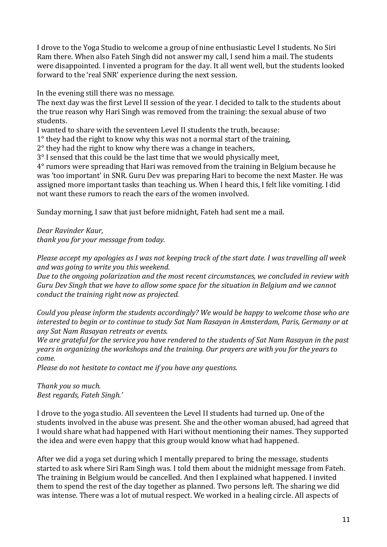I drove to the Yoga Studio to welcome a group of nine enthusiastic Level I students. No Siri Ram there. When also Fateh Singh did not answer my call, I send him a mail. The students were disappointed. I invented a program for the day. It all went well, but the students looked forward to the 'real SNR' experience during the next session.

In the evening still there was no message.

The next day was the first Level II session of the year. I decided to talk to the students about the true reason why Hari Singh was removed from the training: the sexual abuse of two students.

I wanted to share with the seventeen Level II students the truth, because:

 $1^\circ$  they had the right to know why this was not a normal start of the training,

2° they had the right to know why there was a change in teachers,

3° I sensed that this could be the last time that we would physically meet,

4° rumors were spreading that Hari was removed from the training in Belgium because he was 'too important' in SNR. Guru Dev was preparing Hari to become the next Master. He was assigned more important tasks than teaching us. When I heard this, I felt like vomiting. I did not want these rumors to reach the ears of the women involved.

Sunday morning, I saw that just before midnight, Fateh had sent me a mail.

*Dear Ravinder Kaur, thank you for your message from today.*

*Please accept my apologies as I was not keeping track of the start date. I was travelling all week and was going to write you this weekend.* 

*Due to the ongoing polarization and the most recent circumstances, we concluded in review with Guru Dev Singh that we have to allow some space for the situation in Belgium and we cannot conduct the training right now as projected.*

*Could you please inform the students accordingly? We would be happy to welcome those who are interested to begin or to continue to study Sat Nam Rasayan in Amsterdam, Paris, Germany or at any Sat Nam Rasayan retreats or events.*

*We are grateful for the service you have rendered to the students of Sat Nam Rasayan in the past years in organizing the workshops and the training. Our prayers are with you for the years to come.*

*Please do not hesitate to contact me if you have any questions.*

*Thank you so much. Best regards, Fateh Singh.'*

I drove to the yoga studio. All seventeen the Level II students had turned up. One of the students involved in the abuse was present. She and the other woman abused, had agreed that I would share what had happened with Hari without mentioning their names. They supported the idea and were even happy that this group would know what had happened.

After we did a yoga set during which I mentally prepared to bring the message, students started to ask where Siri Ram Singh was. I told them about the midnight message from Fateh. The training in Belgium would be cancelled. And then I explained what happened. I invited them to spend the rest of the day together as planned. Two persons left. The sharing we did was intense. There was a lot of mutual respect. We worked in a healing circle. All aspects of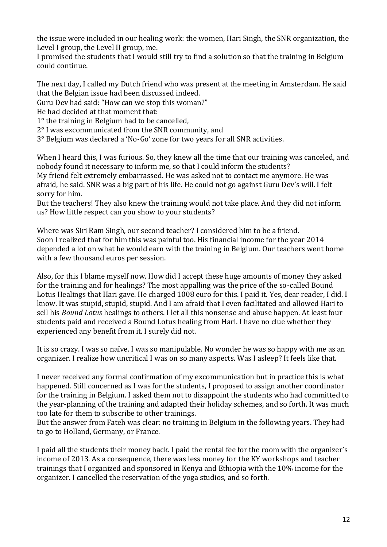the issue were included in our healing work: the women, Hari Singh, the SNR organization, the Level I group, the Level II group, me.

I promised the students that I would still try to find a solution so that the training in Belgium could continue.

The next day, I called my Dutch friend who was present at the meeting in Amsterdam. He said that the Belgian issue had been discussed indeed.

Guru Dev had said: "How can we stop this woman?"

He had decided at that moment that:

1° the training in Belgium had to be cancelled,

2° I was excommunicated from the SNR community, and

3° Belgium was declared a 'No-Go' zone for two years for all SNR activities.

When I heard this, I was furious. So, they knew all the time that our training was canceled, and nobody found it necessary to inform me, so that I could inform the students? My friend felt extremely embarrassed. He was asked not to contact me anymore. He was afraid, he said. SNR was a big part of his life. He could not go against Guru Dev's will. I felt sorry for him.

But the teachers! They also knew the training would not take place. And they did not inform us? How little respect can you show to your students?

Where was Siri Ram Singh, our second teacher? I considered him to be a friend. Soon I realized that for him this was painful too. His financial income for the year 2014 depended a lot on what he would earn with the training in Belgium. Our teachers went home with a few thousand euros per session.

Also, for this I blame myself now. How did I accept these huge amounts of money they asked for the training and for healings? The most appalling was the price of the so-called Bound Lotus Healings that Hari gave. He charged 1008 euro for this. I paid it. Yes, dear reader, I did. I know. It was stupid, stupid, stupid. And I am afraid that I even facilitated and allowed Hari to sell his *Bound Lotus* healings to others. I let all this nonsense and abuse happen. At least four students paid and received a Bound Lotus healing from Hari. I have no clue whether they experienced any benefit from it. I surely did not.

It is so crazy. I was so naïve. I was so manipulable. No wonder he was so happy with me as an organizer. I realize how uncritical I was on so many aspects. Was I asleep? It feels like that.

I never received any formal confirmation of my excommunication but in practice this is what happened. Still concerned as I was for the students, I proposed to assign another coordinator for the training in Belgium. I asked them not to disappoint the students who had committed to the year-planning of the training and adapted their holiday schemes, and so forth. It was much too late for them to subscribe to other trainings.

But the answer from Fateh was clear: no training in Belgium in the following years. They had to go to Holland, Germany, or France.

I paid all the students their money back. I paid the rental fee for the room with the organizer's income of 2013. As a consequence, there was less money for the KY workshops and teacher trainings that I organized and sponsored in Kenya and Ethiopia with the 10% income for the organizer. I cancelled the reservation of the yoga studios, and so forth.